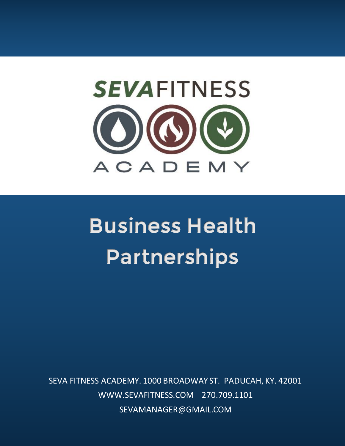

## Business Health Partnerships

SEVA FITNESS ACADEMY. 1000 BROADWAY ST. PADUCAH, KY. 42001 WWW.SEVAFITNESS.COM 270.709.1101 SEVAMANAGER@GMAIL.COM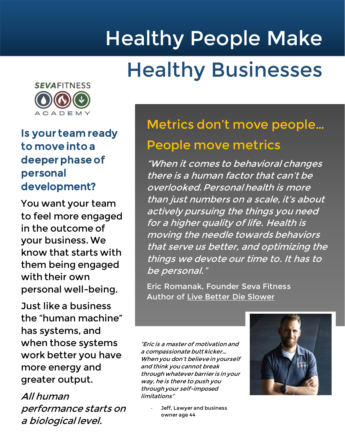# Healthy People Make Healthy Businesses



j

#### Is your team ready to move into a deeper phase of personal development?

 with their own personal well-being. You want your team to feel more engaged in the outcome of your business. We know that starts with them being engaged

 Just like a business the "human machine" has systems, and when those systems work better you have more energy and greater output.

All human performance starts on a biological level.

### Metrics don't move people… People move metrics

"When it comes to behavioral changes there is a human factor that can't be overlooked. Personal health is more than just numbers on a scale, it's about actively pursuing the things you need for a higher quality of life. Health is moving the needle towards behaviors that serve us better, and optimizing the things we devote our time to. It has to be personal."

Eric Romanak, Founder Seva Fitness Author of Live Better Die Slower

"Eric is a master of motivation and a compassionate butt kicker… When you don't believe in yourself and think you cannot break through whatever barrier is in your way, he is there to push you through your self-imposed limitations"

> Jeff, Lawyer and business owner age 44

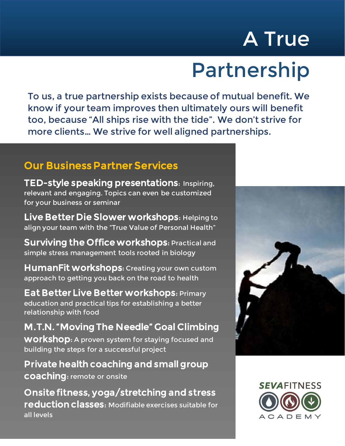## A True Partnership

To us, a true partnership exists because of mutual benefit. We know if your team improves then ultimately ours will benefit too, because "All ships rise with the tide". We don't strive for more clients… We strive for well aligned partnerships.

#### Our Business Partner Services

TED-style speaking presentations: Inspiring, relevant and engaging. Topics can even be customized for your business or seminar

Live Better Die Slower workshops: Helping to align your team with the "True Value of Personal Health"

Surviving the Office workshops: Practical and simple stress management tools rooted in biology

HumanFit workshops: Creating your own custom approach to getting you back on the road to health

Eat Better Live Better workshops: Primary education and practical tips for establishing a better relationship with food

M.T.N. "Moving The Needle" Goal Climbing WOrkshop: A proven system for staying focused and building the steps for a successful project

Private health coaching and small group coaching: remote or onsite

Onsite fitness, yoga/stretching and stress reduction classes: Modifiable exercises suitable for all levels